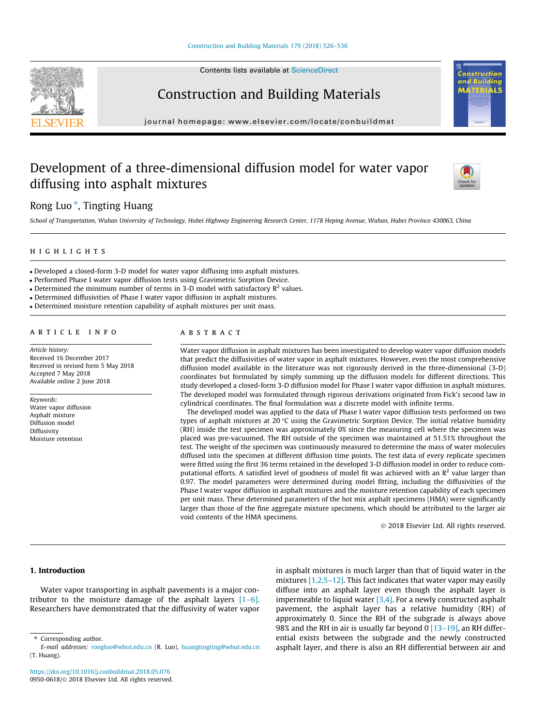Contents lists available at [ScienceDirect](http://www.sciencedirect.com/science/journal/09500618)

# Construction and Building Materials

journal homepage: [www.elsevier.com/locate/conbuildmat](http://www.elsevier.com/locate/conbuildmat)

## Development of a three-dimensional diffusion model for water vapor diffusing into asphalt mixtures

## Rong Luo<sup>\*</sup>, Tingting Huang

School of Transportation, Wuhan University of Technology, Hubei Highway Engineering Research Center, 1178 Heping Avenue, Wuhan, Hubei Province 430063, China

## highlights and the second second second second second second second second second second second second second

- Developed a closed-form 3-D model for water vapor diffusing into asphalt mixtures.
- Performed Phase I water vapor diffusion tests using Gravimetric Sorption Device.
- Determined the minimum number of terms in 3-D model with satisfactory  $\mathbb{R}^2$  values.
- Determined diffusivities of Phase I water vapor diffusion in asphalt mixtures.
- Determined moisture retention capability of asphalt mixtures per unit mass.

### ARTICLE INFO

Article history: Received 16 December 2017 Received in revised form 5 May 2018 Accepted 7 May 2018 Available online 2 June 2018

Keywords: Water vapor diffusion Asphalt mixture Diffusion model Diffusivity Moisture retention

## ABSTRACT

Water vapor diffusion in asphalt mixtures has been investigated to develop water vapor diffusion models that predict the diffusivities of water vapor in asphalt mixtures. However, even the most comprehensive diffusion model available in the literature was not rigorously derived in the three-dimensional (3-D) coordinates but formulated by simply summing up the diffusion models for different directions. This study developed a closed-form 3-D diffusion model for Phase I water vapor diffusion in asphalt mixtures. The developed model was formulated through rigorous derivations originated from Fick's second law in cylindrical coordinates. The final formulation was a discrete model with infinite terms.

The developed model was applied to the data of Phase I water vapor diffusion tests performed on two types of asphalt mixtures at 20  $\degree$ C using the Gravimetric Sorption Device. The initial relative humidity (RH) inside the test specimen was approximately 0% since the measuring cell where the specimen was placed was pre-vacuumed. The RH outside of the specimen was maintained at 51.51% throughout the test. The weight of the specimen was continuously measured to determine the mass of water molecules diffused into the specimen at different diffusion time points. The test data of every replicate specimen were fitted using the first 36 terms retained in the developed 3-D diffusion model in order to reduce computational efforts. A satisfied level of goodness of model fit was achieved with an  $R^2$  value larger than 0.97. The model parameters were determined during model fitting, including the diffusivities of the Phase I water vapor diffusion in asphalt mixtures and the moisture retention capability of each specimen per unit mass. These determined parameters of the hot mix asphalt specimens (HMA) were significantly larger than those of the fine aggregate mixture specimens, which should be attributed to the larger air void contents of the HMA specimens.

2018 Elsevier Ltd. All rights reserved.

### 1. Introduction

Water vapor transporting in asphalt pavements is a major contributor to the moisture damage of the asphalt layers [\[1–6\].](#page--1-0) Researchers have demonstrated that the diffusivity of water vapor in asphalt mixtures is much larger than that of liquid water in the mixtures  $[1,2,5-12]$ . This fact indicates that water vapor may easily diffuse into an asphalt layer even though the asphalt layer is impermeable to liquid water  $[3,4]$ . For a newly constructed asphalt pavement, the asphalt layer has a relative humidity (RH) of approximately 0. Since the RH of the subgrade is always above 98% and the RH in air is usually far beyond 0  $[13-19]$ , an RH differential exists between the subgrade and the newly constructed asphalt layer, and there is also an RH differential between air and







<sup>⇑</sup> Corresponding author.

E-mail addresses: [rongluo@whut.edu.cn](mailto:rongluo@whut.edu.cn) (R. Luo), [huangtingting@whut.edu.cn](mailto:huangtingting@whut.edu.cn) (T. Huang).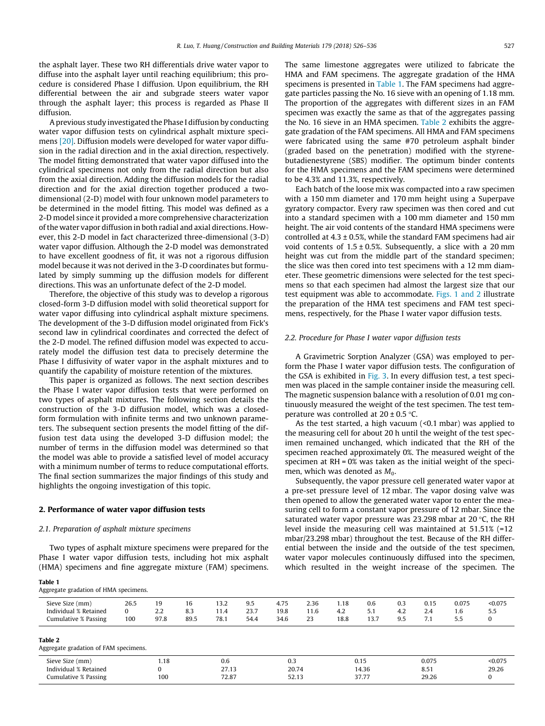the asphalt layer. These two RH differentials drive water vapor to diffuse into the asphalt layer until reaching equilibrium; this procedure is considered Phase I diffusion. Upon equilibrium, the RH differential between the air and subgrade steers water vapor through the asphalt layer; this process is regarded as Phase II diffusion.

A previous study investigated the Phase I diffusion by conducting water vapor diffusion tests on cylindrical asphalt mixture specimens [\[20\]](#page--1-0). Diffusion models were developed for water vapor diffusion in the radial direction and in the axial direction, respectively. The model fitting demonstrated that water vapor diffused into the cylindrical specimens not only from the radial direction but also from the axial direction. Adding the diffusion models for the radial direction and for the axial direction together produced a twodimensional (2-D) model with four unknown model parameters to be determined in the model fitting. This model was defined as a 2-D model since it provided a more comprehensive characterization of the water vapor diffusion in both radial and axial directions. However, this 2-D model in fact characterized three-dimensional (3-D) water vapor diffusion. Although the 2-D model was demonstrated to have excellent goodness of fit, it was not a rigorous diffusion model because it was not derived in the 3-D coordinates but formulated by simply summing up the diffusion models for different directions. This was an unfortunate defect of the 2-D model.

Therefore, the objective of this study was to develop a rigorous closed-form 3-D diffusion model with solid theoretical support for water vapor diffusing into cylindrical asphalt mixture specimens. The development of the 3-D diffusion model originated from Fick's second law in cylindrical coordinates and corrected the defect of the 2-D model. The refined diffusion model was expected to accurately model the diffusion test data to precisely determine the Phase I diffusivity of water vapor in the asphalt mixtures and to quantify the capability of moisture retention of the mixtures.

This paper is organized as follows. The next section describes the Phase I water vapor diffusion tests that were performed on two types of asphalt mixtures. The following section details the construction of the 3-D diffusion model, which was a closedform formulation with infinite terms and two unknown parameters. The subsequent section presents the model fitting of the diffusion test data using the developed 3-D diffusion model; the number of terms in the diffusion model was determined so that the model was able to provide a satisfied level of model accuracy with a minimum number of terms to reduce computational efforts. The final section summarizes the major findings of this study and highlights the ongoing investigation of this topic.

### 2. Performance of water vapor diffusion tests

### 2.1. Preparation of asphalt mixture specimens

Aggregate gradation of HMA specimens.

Table 1

Two types of asphalt mixture specimens were prepared for the Phase I water vapor diffusion tests, including hot mix asphalt (HMA) specimens and fine aggregate mixture (FAM) specimens. The same limestone aggregates were utilized to fabricate the HMA and FAM specimens. The aggregate gradation of the HMA specimens is presented in Table 1. The FAM specimens had aggregate particles passing the No. 16 sieve with an opening of 1.18 mm. The proportion of the aggregates with different sizes in an FAM specimen was exactly the same as that of the aggregates passing the No. 16 sieve in an HMA specimen. Table 2 exhibits the aggregate gradation of the FAM specimens. All HMA and FAM specimens were fabricated using the same #70 petroleum asphalt binder (graded based on the penetration) modified with the styrenebutadienestyrene (SBS) modifier. The optimum binder contents for the HMA specimens and the FAM specimens were determined to be 4.3% and 11.3%, respectively.

Each batch of the loose mix was compacted into a raw specimen with a 150 mm diameter and 170 mm height using a Superpave gyratory compactor. Every raw specimen was then cored and cut into a standard specimen with a 100 mm diameter and 150 mm height. The air void contents of the standard HMA specimens were controlled at  $4.3 \pm 0.5$ %, while the standard FAM specimens had air void contents of  $1.5 \pm 0.5$ %. Subsequently, a slice with a 20 mm height was cut from the middle part of the standard specimen; the slice was then cored into test specimens with a 12 mm diameter. These geometric dimensions were selected for the test specimens so that each specimen had almost the largest size that our test equipment was able to accommodate. [Figs. 1 and 2](#page--1-0) illustrate the preparation of the HMA test specimens and FAM test specimens, respectively, for the Phase I water vapor diffusion tests.

#### 2.2. Procedure for Phase I water vapor diffusion tests

A Gravimetric Sorption Analyzer (GSA) was employed to perform the Phase I water vapor diffusion tests. The configuration of the GSA is exhibited in [Fig. 3.](#page--1-0) In every diffusion test, a test specimen was placed in the sample container inside the measuring cell. The magnetic suspension balance with a resolution of 0.01 mg continuously measured the weight of the test specimen. The test temperature was controlled at  $20 \pm 0.5$  °C.

As the test started, a high vacuum (<0.1 mbar) was applied to the measuring cell for about 20 h until the weight of the test specimen remained unchanged, which indicated that the RH of the specimen reached approximately 0%. The measured weight of the specimen at RH = 0% was taken as the initial weight of the specimen, which was denoted as  $M_0$ .

Subsequently, the vapor pressure cell generated water vapor at a pre-set pressure level of 12 mbar. The vapor dosing valve was then opened to allow the generated water vapor to enter the measuring cell to form a constant vapor pressure of 12 mbar. Since the saturated water vapor pressure was 23.298 mbar at 20 $\degree$ C, the RH level inside the measuring cell was maintained at 51.51% (=12 mbar/23.298 mbar) throughout the test. Because of the RH differential between the inside and the outside of the test specimen, water vapor molecules continuously diffused into the specimen, which resulted in the weight increase of the specimen. The

| Sieve Size (mm)<br>Individual % Retained<br>Cumulative % Passing | 26.5<br>0<br>100 | 19<br>2.2<br>97.8 | 16<br>8.3<br>89.5 | 13.2<br>11.4<br>78.1 | 9.5<br>23.7<br>54.4 | 4.75<br>19.8<br>34.6 | 2.36<br>11.6<br>23 | 1.18<br>4.2<br>18.8 | 0.6<br>5.1<br>13.7 | 0.3<br>4.2<br>9.5 | 0.15<br>2.4<br>7.1 | 0.075<br>1.6<br>5.5 | < 0.075<br>5.5<br>0 |
|------------------------------------------------------------------|------------------|-------------------|-------------------|----------------------|---------------------|----------------------|--------------------|---------------------|--------------------|-------------------|--------------------|---------------------|---------------------|
| Table 2<br>Aggregate gradation of FAM specimens.                 |                  |                   |                   |                      |                     |                      |                    |                     |                    |                   |                    |                     |                     |
| Sieve Size (mm)                                                  |                  | 1.18              |                   | 0.6                  |                     | 0.3                  |                    |                     | 0.15               |                   | 0.075              |                     | < 0.075             |

Individual % Retained 0 27.13 20.74 14.36 8.51 29.26 Cumulative % Passing 100 72.87 52.13 37.77 29.26 0